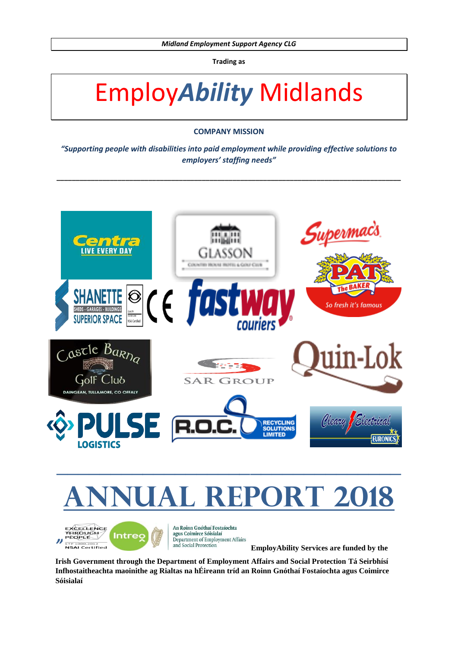**Trading as**

# Employ*Ability* Midlands

# **COMPANY MISSION**

*"Supporting people with disabilities into paid employment while providing effective solutions to employers' staffing needs"*

**\_\_\_\_\_\_\_\_\_\_\_\_\_\_\_\_\_\_\_\_\_\_\_\_\_\_\_\_\_\_\_\_\_\_\_\_\_\_\_\_\_\_\_\_\_\_\_\_\_\_\_\_\_\_\_\_\_\_\_\_\_\_\_\_\_\_\_\_\_\_\_\_\_\_\_\_\_\_\_\_\_\_\_\_\_\_\_\_\_\_**



# **ANNUAL REPORT 2018**

EXCELLENCE<br>THROUGH<br>PÈQPLE **Intreo** *"* ETP 1000:2012<br>NSAI Certified



An Roinn Gnóthaí Eostaíochta agus Coimirce Sóisialaí Department of Employment Affairs and Social Protection

**EmployAbility Services are funded by the** 

**Irish Government through the Department of Employment Affairs and Social Protection Tá Seirbhísí Infhostaitheachta maoinithe ag Rialtas na hÉireann tríd an Roinn Gnóthaí Fostaíochta agus Coimirce Sóisialaí**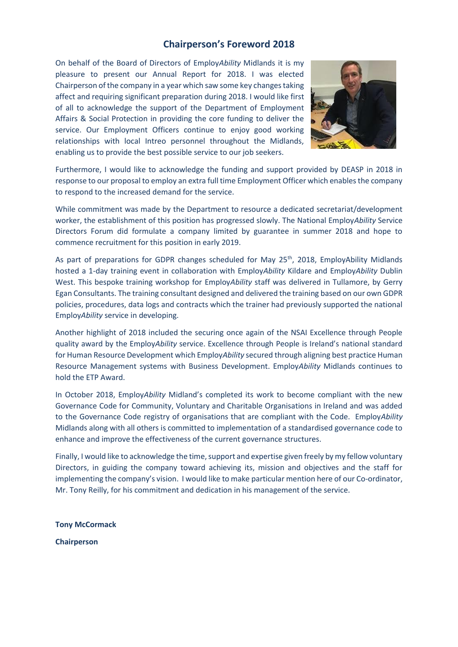# **Chairperson's Foreword 2018**

On behalf of the Board of Directors of Employ*Ability* Midlands it is my pleasure to present our Annual Report for 2018. I was elected Chairperson of the company in a year which saw some key changes taking affect and requiring significant preparation during 2018. I would like first of all to acknowledge the support of the Department of Employment Affairs & Social Protection in providing the core funding to deliver the service. Our Employment Officers continue to enjoy good working relationships with local Intreo personnel throughout the Midlands, enabling us to provide the best possible service to our job seekers.



Furthermore, I would like to acknowledge the funding and support provided by DEASP in 2018 in response to our proposal to employ an extra full time Employment Officer which enables the company to respond to the increased demand for the service.

While commitment was made by the Department to resource a dedicated secretariat/development worker, the establishment of this position has progressed slowly. The National Employ*Ability* Service Directors Forum did formulate a company limited by guarantee in summer 2018 and hope to commence recruitment for this position in early 2019.

As part of preparations for GDPR changes scheduled for May 25<sup>th</sup>, 2018, EmployAbility Midlands hosted a 1-day training event in collaboration with Employ*Ability* Kildare and Employ*Ability* Dublin West. This bespoke training workshop for Employ*Ability* staff was delivered in Tullamore, by Gerry Egan Consultants. The training consultant designed and delivered the training based on our own GDPR policies, procedures, data logs and contracts which the trainer had previously supported the national Employ*Ability* service in developing.

Another highlight of 2018 included the securing once again of the NSAI Excellence through People quality award by the Employ*Ability* service. Excellence through People is Ireland's national standard for Human Resource Development which Employ*Ability* secured through aligning best practice Human Resource Management systems with Business Development. Employ*Ability* Midlands continues to hold the ETP Award.

In October 2018, Employ*Ability* Midland's completed its work to become compliant with the new Governance Code for Community, Voluntary and Charitable Organisations in Ireland and was added to the Governance Code registry of organisations that are compliant with the Code. Employ*Ability* Midlands along with all others is committed to implementation of a standardised governance code to enhance and improve the effectiveness of the current governance structures.

Finally, I would like to acknowledge the time, support and expertise given freely by my fellow voluntary Directors, in guiding the company toward achieving its, mission and objectives and the staff for implementing the company's vision. I would like to make particular mention here of our Co-ordinator, Mr. Tony Reilly, for his commitment and dedication in his management of the service.

**Tony McCormack**

**Chairperson**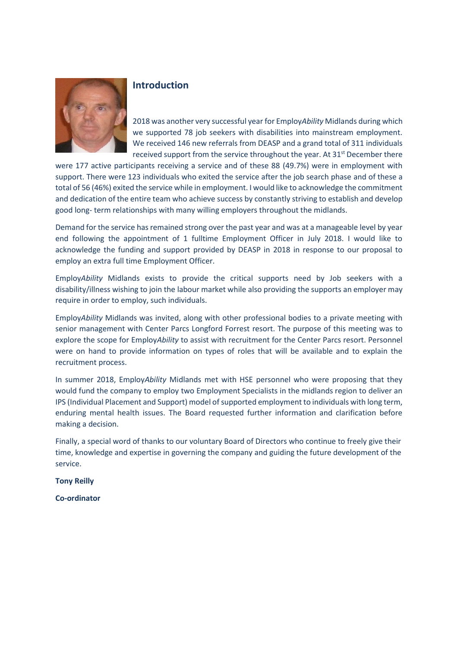

# **Introduction**

2018 was another very successful year for Employ*Ability* Midlands during which we supported 78 job seekers with disabilities into mainstream employment. We received 146 new referrals from DEASP and a grand total of 311 individuals received support from the service throughout the year. At  $31<sup>st</sup>$  December there

were 177 active participants receiving a service and of these 88 (49.7%) were in employment with support. There were 123 individuals who exited the service after the job search phase and of these a total of 56 (46%) exited the service while in employment. I would like to acknowledge the commitment and dedication of the entire team who achieve success by constantly striving to establish and develop good long- term relationships with many willing employers throughout the midlands.

Demand for the service has remained strong over the past year and was at a manageable level by year end following the appointment of 1 fulltime Employment Officer in July 2018. I would like to acknowledge the funding and support provided by DEASP in 2018 in response to our proposal to employ an extra full time Employment Officer.

Employ*Ability* Midlands exists to provide the critical supports need by Job seekers with a disability/illness wishing to join the labour market while also providing the supports an employer may require in order to employ, such individuals.

Employ*Ability* Midlands was invited, along with other professional bodies to a private meeting with senior management with Center Parcs Longford Forrest resort. The purpose of this meeting was to explore the scope for Employ*Ability* to assist with recruitment for the Center Parcs resort. Personnel were on hand to provide information on types of roles that will be available and to explain the recruitment process.

In summer 2018, Employ*Ability* Midlands met with HSE personnel who were proposing that they would fund the company to employ two Employment Specialists in the midlands region to deliver an IPS (Individual Placement and Support) model of supported employment to individuals with long term, enduring mental health issues. The Board requested further information and clarification before making a decision.

Finally, a special word of thanks to our voluntary Board of Directors who continue to freely give their time, knowledge and expertise in governing the company and guiding the future development of the service.

**Tony Reilly**

**Co-ordinator**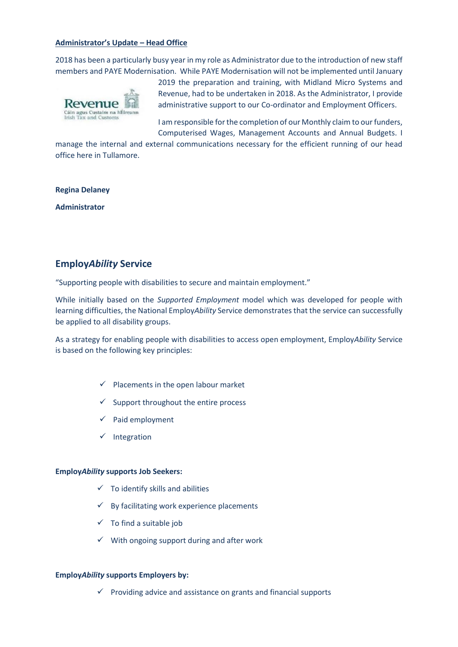## **Administrator's Update – Head Office**

2018 has been a particularly busy year in my role as Administrator due to the introduction of new staff members and PAYE Modernisation. While PAYE Modernisation will not be implemented until January



2019 the preparation and training, with Midland Micro Systems and Revenue, had to be undertaken in 2018. As the Administrator, I provide administrative support to our Co-ordinator and Employment Officers.

I am responsible for the completion of our Monthly claim to our funders, Computerised Wages, Management Accounts and Annual Budgets. I

manage the internal and external communications necessary for the efficient running of our head office here in Tullamore.

#### **Regina Delaney**

**Administrator**

# **Employ***Ability* **Service**

"Supporting people with disabilities to secure and maintain employment."

While initially based on the *Supported Employment* model which was developed for people with learning difficulties, the National Employ*Ability* Service demonstrates that the service can successfully be applied to all disability groups.

As a strategy for enabling people with disabilities to access open employment, Employ*Ability* Service is based on the following key principles:

- $\checkmark$  Placements in the open labour market
- $\checkmark$  Support throughout the entire process
- ✓ Paid employment
- ✓ Integration

#### **Employ***Ability* **supports Job Seekers:**

- $\checkmark$  To identify skills and abilities
- $\checkmark$  By facilitating work experience placements
- $\checkmark$  To find a suitable job
- $\checkmark$  With ongoing support during and after work

#### **Employ***Ability* **supports Employers by:**

 $\checkmark$  Providing advice and assistance on grants and financial supports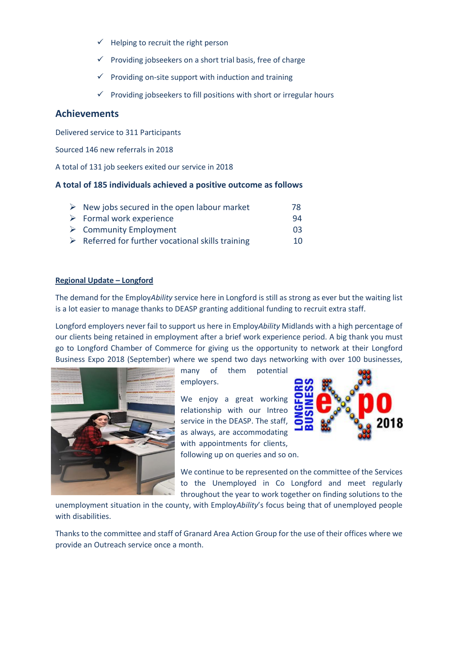- $\checkmark$  Helping to recruit the right person
- $\checkmark$  Providing jobseekers on a short trial basis, free of charge
- $\checkmark$  Providing on-site support with induction and training
- $\checkmark$  Providing jobseekers to fill positions with short or irregular hours

# **Achievements**

Delivered service to 311 Participants

Sourced 146 new referrals in 2018

A total of 131 job seekers exited our service in 2018

# **A total of 185 individuals achieved a positive outcome as follows**

| $\triangleright$ New jobs secured in the open labour market      | 78 |
|------------------------------------------------------------------|----|
| $\triangleright$ Formal work experience                          | 94 |
| $\triangleright$ Community Employment                            | 03 |
| $\triangleright$ Referred for further vocational skills training | 10 |

## **Regional Update – Longford**

The demand for the Employ*Ability* service here in Longford is still as strong as ever but the waiting list is a lot easier to manage thanks to DEASP granting additional funding to recruit extra staff.

Longford employers never fail to support us here in Employ*Ability* Midlands with a high percentage of our clients being retained in employment after a brief work experience period. A big thank you must go to Longford Chamber of Commerce for giving us the opportunity to network at their Longford Business Expo 2018 (September) where we spend two days networking with over 100 businesses,



many of them potential employers.

We enjoy a great working relationship with our Intreo service in the DEASP. The staff, as always, are accommodating with appointments for clients, following up on queries and so on.



We continue to be represented on the committee of the Services to the Unemployed in Co Longford and meet regularly throughout the year to work together on finding solutions to the

unemployment situation in the county, with Employ*Ability*'s focus being that of unemployed people with disabilities.

Thanks to the committee and staff of Granard Area Action Group for the use of their offices where we provide an Outreach service once a month.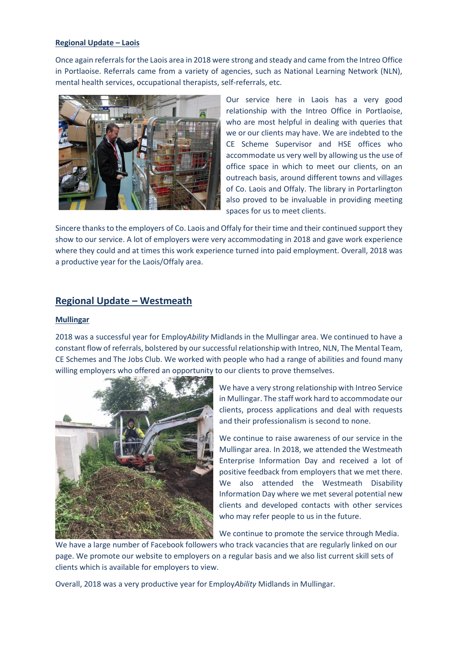### **Regional Update – Laois**

Once again referrals for the Laois area in 2018 were strong and steady and came from the Intreo Office in Portlaoise. Referrals came from a variety of agencies, such as National Learning Network (NLN), mental health services, occupational therapists, self-referrals, etc.



Our service here in Laois has a very good relationship with the Intreo Office in Portlaoise, who are most helpful in dealing with queries that we or our clients may have. We are indebted to the CE Scheme Supervisor and HSE offices who accommodate us very well by allowing us the use of office space in which to meet our clients, on an outreach basis, around different towns and villages of Co. Laois and Offaly. The library in Portarlington also proved to be invaluable in providing meeting spaces for us to meet clients.

Sincere thanks to the employers of Co. Laois and Offaly for their time and their continued support they show to our service. A lot of employers were very accommodating in 2018 and gave work experience where they could and at times this work experience turned into paid employment. Overall, 2018 was a productive year for the Laois/Offaly area.

# **Regional Update – Westmeath**

#### **Mullingar**

2018 was a successful year for Employ*Ability* Midlands in the Mullingar area. We continued to have a constant flow of referrals, bolstered by our successful relationship with Intreo, NLN, The Mental Team, CE Schemes and The Jobs Club. We worked with people who had a range of abilities and found many willing employers who offered an opportunity to our clients to prove themselves.



We have a very strong relationship with Intreo Service in Mullingar. The staff work hard to accommodate our clients, process applications and deal with requests and their professionalism is second to none.

We continue to raise awareness of our service in the Mullingar area. In 2018, we attended the Westmeath Enterprise Information Day and received a lot of positive feedback from employers that we met there. We also attended the Westmeath Disability Information Day where we met several potential new clients and developed contacts with other services who may refer people to us in the future.

We continue to promote the service through Media. We have a large number of Facebook followers who track vacancies that are regularly linked on our page. We promote our website to employers on a regular basis and we also list current skill sets of clients which is available for employers to view.

Overall, 2018 was a very productive year for Employ*Ability* Midlands in Mullingar.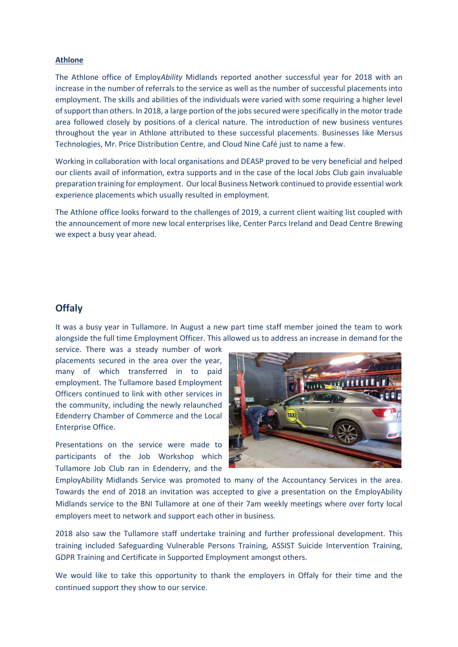#### **Athlone**

The Athlone office of Employ*Ability* Midlands reported another successful year for 2018 with an increase in the number of referrals to the service as well as the number of successful placements into employment. The skills and abilities of the individuals were varied with some requiring a higher level of support than others. In 2018, a large portion of the jobs secured were specifically in the motor trade area followed closely by positions of a clerical nature. The introduction of new business ventures throughout the year in Athlone attributed to these successful placements. Businesses like Mersus Technologies, Mr. Price Distribution Centre, and Cloud Nine Café just to name a few.

Working in collaboration with local organisations and DEASP proved to be very beneficial and helped our clients avail of information, extra supports and in the case of the local Jobs Club gain invaluable preparation training for employment. Our local Business Network continued to provide essential work experience placements which usually resulted in employment.

The Athlone office looks forward to the challenges of 2019, a current client waiting list coupled with the announcement of more new local enterprises like, Center Parcs Ireland and Dead Centre Brewing we expect a busy year ahead.

# **Offaly**

It was a busy year in Tullamore. In August a new part time staff member joined the team to work alongside the full time Employment Officer. This allowed us to address an increase in demand for the

service. There was a steady number of work placements secured in the area over the year, many of which transferred in to paid employment. The Tullamore based Employment Officers continued to link with other services in the community, including the newly relaunched Edenderry Chamber of Commerce and the Local Enterprise Office.

Presentations on the service were made to participants of the Job Workshop which Tullamore Job Club ran in Edenderry, and the



EmployAbility Midlands Service was promoted to many of the Accountancy Services in the area. Towards the end of 2018 an invitation was accepted to give a presentation on the EmployAbility Midlands service to the BNI Tullamore at one of their 7am weekly meetings where over forty local employers meet to network and support each other in business.

2018 also saw the Tullamore staff undertake training and further professional development. This training included Safeguarding Vulnerable Persons Training, ASSIST Suicide Intervention Training, GDPR Training and Certificate in Supported Employment amongst others.

We would like to take this opportunity to thank the employers in Offaly for their time and the continued support they show to our service.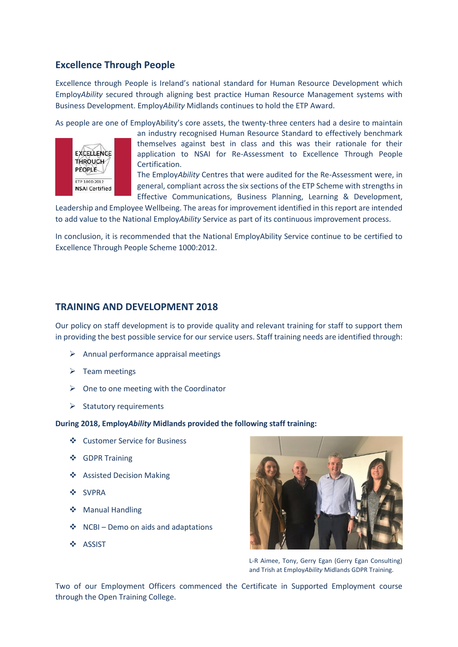# **Excellence Through People**

Excellence through People is Ireland's national standard for Human Resource Development which Employ*Ability* secured through aligning best practice Human Resource Management systems with Business Development. Employ*Ability* Midlands continues to hold the ETP Award.

As people are one of EmployAbility's core assets, the twenty-three centers had a desire to maintain



an industry recognised Human Resource Standard to effectively benchmark themselves against best in class and this was their rationale for their application to NSAI for Re-Assessment to Excellence Through People Certification.

The Employ*Ability* Centres that were audited for the Re-Assessment were, in general, compliant across the six sections of the ETP Scheme with strengths in Effective Communications, Business Planning, Learning & Development,

Leadership and Employee Wellbeing. The areas for improvement identified in this report are intended to add value to the National Employ*Ability* Service as part of its continuous improvement process.

In conclusion, it is recommended that the National EmployAbility Service continue to be certified to Excellence Through People Scheme 1000:2012.

# **TRAINING AND DEVELOPMENT 2018**

Our policy on staff development is to provide quality and relevant training for staff to support them in providing the best possible service for our service users. Staff training needs are identified through:

- ➢ Annual performance appraisal meetings
- $\triangleright$  Team meetings
- $\triangleright$  One to one meeting with the Coordinator
- $\triangleright$  Statutory requirements

#### **During 2018, Employ***Ability* **Midlands provided the following staff training:**

- ❖ Customer Service for Business
- ❖ GDPR Training
- ❖ Assisted Decision Making
- ❖ SVPRA
- ❖ Manual Handling
- ❖ NCBI Demo on aids and adaptations
- ❖ ASSIST



L-R Aimee, Tony, Gerry Egan (Gerry Egan Consulting) and Trish at Employ*Ability* Midlands GDPR Training.

Two of our Employment Officers commenced the Certificate in Supported Employment course through the Open Training College.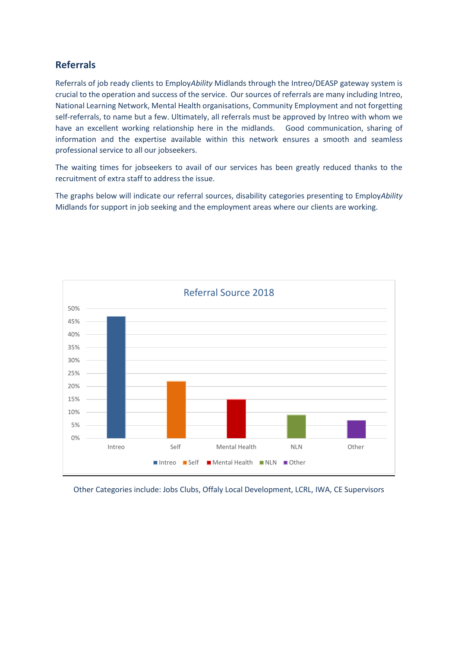# **Referrals**

Referrals of job ready clients to Employ*Ability* Midlands through the Intreo/DEASP gateway system is crucial to the operation and success of the service. Our sources of referrals are many including Intreo, National Learning Network, Mental Health organisations, Community Employment and not forgetting self-referrals, to name but a few. Ultimately, all referrals must be approved by Intreo with whom we have an excellent working relationship here in the midlands. Good communication, sharing of information and the expertise available within this network ensures a smooth and seamless professional service to all our jobseekers.

The waiting times for jobseekers to avail of our services has been greatly reduced thanks to the recruitment of extra staff to address the issue.

The graphs below will indicate our referral sources, disability categories presenting to Employ*Ability* Midlands for support in job seeking and the employment areas where our clients are working.



Other Categories include: Jobs Clubs, Offaly Local Development, LCRL, IWA, CE Supervisors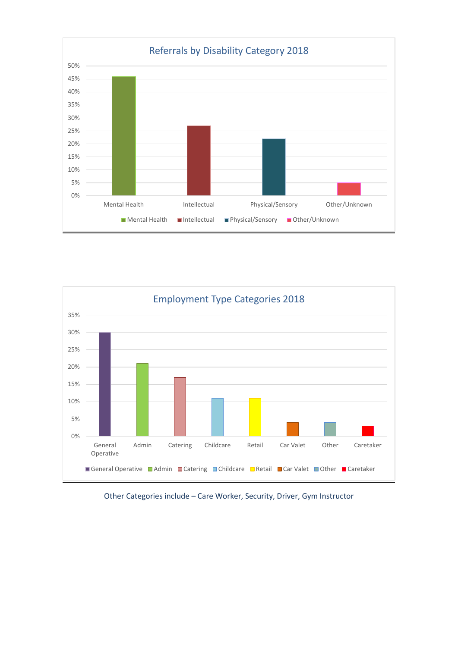



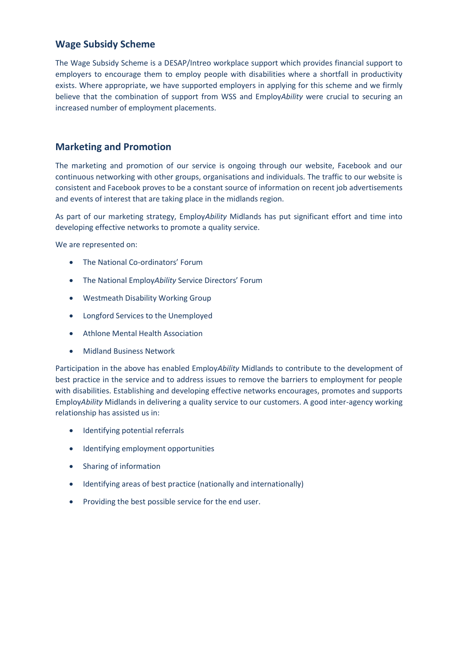# **Wage Subsidy Scheme**

The Wage Subsidy Scheme is a DESAP/Intreo workplace support which provides financial support to employers to encourage them to employ people with disabilities where a shortfall in productivity exists. Where appropriate, we have supported employers in applying for this scheme and we firmly believe that the combination of support from WSS and Employ*Ability* were crucial to securing an increased number of employment placements.

# **Marketing and Promotion**

The marketing and promotion of our service is ongoing through our website, Facebook and our continuous networking with other groups, organisations and individuals. The traffic to our website is consistent and Facebook proves to be a constant source of information on recent job advertisements and events of interest that are taking place in the midlands region.

As part of our marketing strategy, Employ*Ability* Midlands has put significant effort and time into developing effective networks to promote a quality service.

We are represented on:

- The National Co-ordinators' Forum
- The National Employ*Ability* Service Directors' Forum
- Westmeath Disability Working Group
- Longford Services to the Unemployed
- Athlone Mental Health Association
- Midland Business Network

Participation in the above has enabled Employ*Ability* Midlands to contribute to the development of best practice in the service and to address issues to remove the barriers to employment for people with disabilities. Establishing and developing effective networks encourages, promotes and supports Employ*Ability* Midlands in delivering a quality service to our customers. A good inter-agency working relationship has assisted us in:

- Identifying potential referrals
- Identifying employment opportunities
- Sharing of information
- Identifying areas of best practice (nationally and internationally)
- Providing the best possible service for the end user.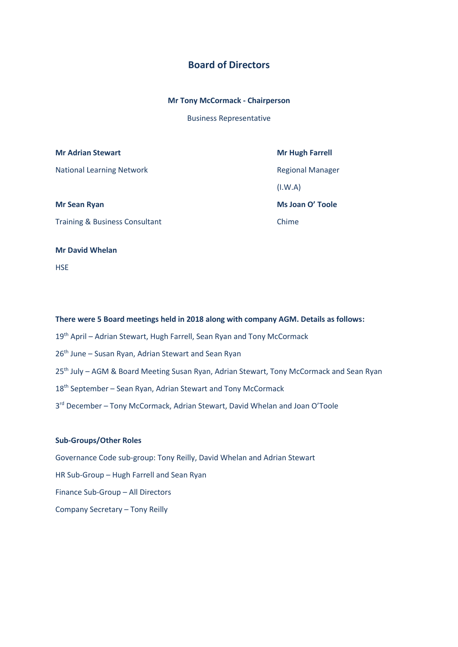# **Board of Directors**

#### **Mr Tony McCormack - Chairperson**

Business Representative

#### **Mr Adrian Stewart Mr Hugh Farrell**

National Learning Network **Regional Manager** Regional Manager

Training & Business Consultant Chime

(I.W.A)

**Mr Sean Ryan Ms Joan O' Toole**

#### **Mr David Whelan**

**HSE** 

# **There were 5 Board meetings held in 2018 along with company AGM. Details as follows:** 19<sup>th</sup> April – Adrian Stewart, Hugh Farrell, Sean Ryan and Tony McCormack 26<sup>th</sup> June - Susan Ryan, Adrian Stewart and Sean Ryan 25<sup>th</sup> July – AGM & Board Meeting Susan Ryan, Adrian Stewart, Tony McCormack and Sean Ryan 18<sup>th</sup> September - Sean Ryan, Adrian Stewart and Tony McCormack

3<sup>rd</sup> December - Tony McCormack, Adrian Stewart, David Whelan and Joan O'Toole

## **Sub-Groups/Other Roles**

Governance Code sub-group: Tony Reilly, David Whelan and Adrian Stewart HR Sub-Group – Hugh Farrell and Sean Ryan Finance Sub-Group – All Directors Company Secretary – Tony Reilly